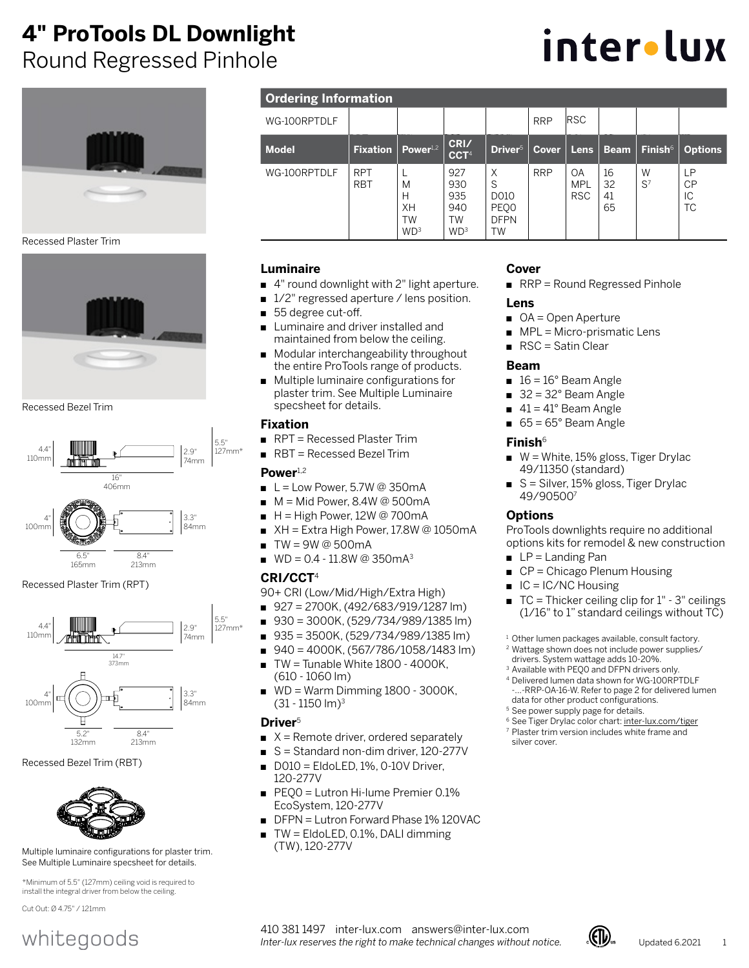# **4" ProTools DL Downlight**

Round Regressed Pinhole



Recessed Plaster Trim



Recessed Bezel Trim



8.4" 213mm

6.5" 165mm Recessed Plaster Trim (RPT)



#### Recessed Bezel Trim (RBT)



Multiple luminaire configurations for plaster trim. See Multiple Luminaire specsheet for details.

\*Minimum of 5.5" (127mm) ceiling void is required to install the integral driver from below the ceiling.

Cut Out: Ø 4.75" / 121mm

# whitegoods

| <b>Ordering Information</b> |
|-----------------------------|
|                             |

| <b>Ordering Information</b> |                          |                                              |                                                          |                                             |              |                                |                      |                            |                                    |
|-----------------------------|--------------------------|----------------------------------------------|----------------------------------------------------------|---------------------------------------------|--------------|--------------------------------|----------------------|----------------------------|------------------------------------|
| WG-100RPTDLF                |                          |                                              |                                                          |                                             | <b>RRP</b>   | <b>RSC</b>                     |                      |                            |                                    |
| <b>Model</b>                | <b>Fixation</b>          | $Power^{1.2}$                                | CRI/<br>CCT <sup>4</sup>                                 | Driver <sup>5</sup>                         | <b>Cover</b> | Lens                           | <b>Beam</b>          | <b>Finish</b> <sup>6</sup> | <b>Options</b>                     |
| WG-100RPTDLF                | <b>RPT</b><br><b>RBT</b> | M<br>Н<br>XH<br><b>TW</b><br>WD <sup>3</sup> | 927<br>930<br>935<br>940<br><b>TW</b><br>WD <sup>3</sup> | X<br>S<br>D010<br>PEQ0<br><b>DFPN</b><br>TW | <b>RRP</b>   | OA<br><b>MPL</b><br><b>RSC</b> | 16<br>32<br>41<br>65 | W<br>$S^7$                 | <b>LP</b><br><b>CP</b><br>IC<br>ТC |

## **Luminaire**

- 4" round downlight with 2" light aperture.
- 1/2" regressed aperture / lens position.
- 55 degree cut-off.
- Luminaire and driver installed and maintained from below the ceiling.
- Modular interchangeability throughout the entire ProTools range of products.
- Multiple luminaire configurations for plaster trim. See Multiple Luminaire specsheet for details.

#### **Fixation**

- RPT = Recessed Plaster Trim
- RBT = Recessed Bezel Trim

### Power<sup>1,2</sup>

- $L =$  Low Power, 5.7W @ 350mA
- $M = Mid Power$ , 8.4W @ 500mA
- $H =$  High Power, 12W @ 700mA
- $XH =$  Extra High Power, 17.8W @ 1050mA
- $TW = 9W @ 500mA$
- $WD = 0.4 11.8W$  @ 350 m A<sup>3</sup>

### **CRI/CCT**<sup>4</sup>

90+ CRI (Low/Mid/High/Extra High)

- 927 = 2700K, (492/683/919/1287 lm)
- 930 = 3000K, (529/734/989/1385 lm)
- 935 = 3500K, (529/734/989/1385 lm)
- 940 = 4000K, (567/786/1058/1483 lm)
- $TW =$  Tunable White  $1800 4000K$ , (610 - 1060 lm)
- WD = Warm Dimming 1800 3000K, (31 - 1150 lm)3

### **Driver**<sup>5</sup>

- $X =$  Remote driver, ordered separately
- S = Standard non-dim driver, 120-277V
- $D010 =$  EldoLED, 1%, 0-10V Driver, 120-277V
- PEQ0 = Lutron Hi-lume Premier 0.1% EcoSystem, 120-277V
- DFPN = Lutron Forward Phase 1% 120VAC
- $TW =$  EldoLED, 0.1%, DALI dimming (TW), 120-277V

## **Cover**

■ RRP = Round Regressed Pinhole

#### **Lens**

- OA = Open Aperture
- MPL = Micro-prismatic Lens
- RSC = Satin Clear

#### **Beam**

- $16 = 16^\circ$  Beam Angle
- $\blacksquare$  32 = 32° Beam Angle
- $41 = 41^\circ$  Beam Angle
- $\blacksquare$  65 = 65° Beam Angle

#### **Finish**<sup>6</sup>

- W = White, 15% gloss, Tiger Drylac 49/11350 (standard)
- S = Silver, 15% gloss, Tiger Drylac 49/905007

## **Options**

ProTools downlights require no additional options kits for remodel & new construction

- $\blacksquare$  LP = Landing Pan
- CP = Chicago Plenum Housing
- $IC = IC/NC$  Housing
- $TC = Thicker ceiling clip for 1" 3" ceilings$ (1/16" to 1" standard ceilings without TC)
- <sup>1</sup> Other lumen packages available, consult factory.
- <sup>2</sup> Wattage shown does not include power supplies/ drivers. System wattage adds 10-20%.
- <sup>3</sup> Available with PEQ0 and DFPN drivers only.
- <sup>4</sup> Delivered lumen data shown for WG-100RPTDLF -RRP-OA-16-W. Refer to page 2 for delivered lumen data for other product configurations.
- <sup>5</sup> See power supply page for details.
- <sup>6</sup> See Tiger Drylac color chart[: inter-lux.com/tiger](https://www.inter-lux.com/wp-content/uploads/2021/03/TIGER_Drylac_Colors.pdf) <sup>7</sup> Plaster trim version includes white frame and silver cover.